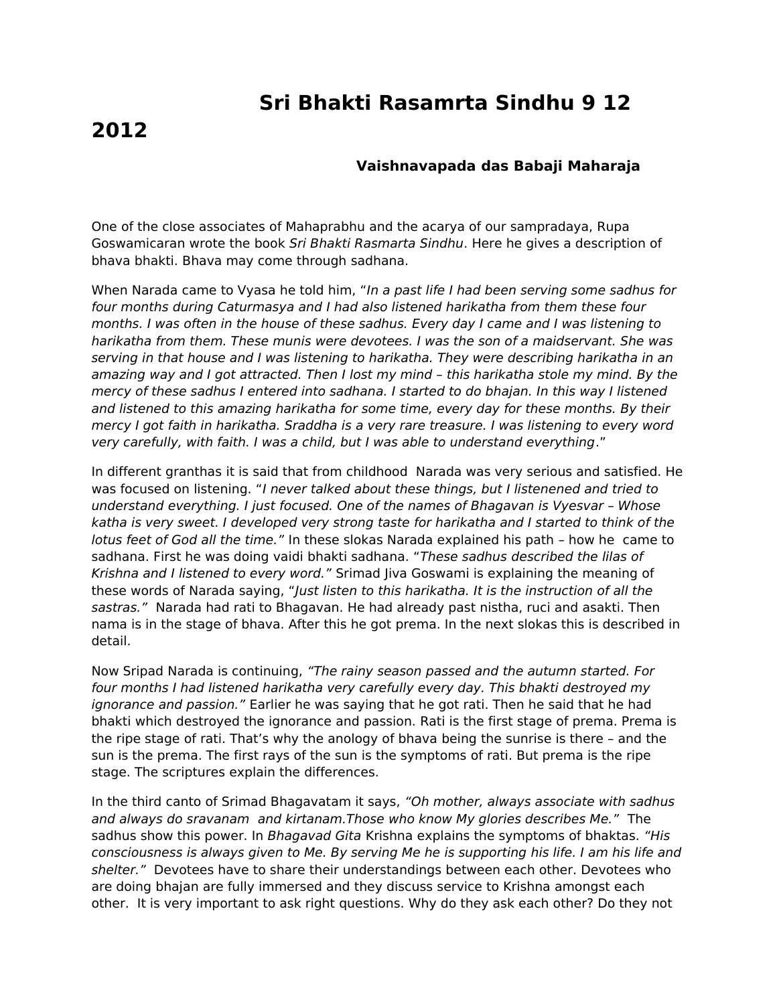## **Sri Bhakti Rasamrta Sindhu 9 12**

## **2012**

## **Vaishnavapada das Babaji Maharaja**

One of the close associates of Mahaprabhu and the acarya of our sampradaya, Rupa Goswamicaran wrote the book Sri Bhakti Rasmarta Sindhu. Here he gives a description of bhava bhakti. Bhava may come through sadhana.

When Narada came to Vyasa he told him, "In a past life I had been serving some sadhus for four months during Caturmasya and I had also listened harikatha from them these four months. I was often in the house of these sadhus. Every day I came and I was listening to harikatha from them. These munis were devotees. I was the son of a maidservant. She was serving in that house and I was listening to harikatha. They were describing harikatha in an amazing way and I got attracted. Then I lost my mind – this harikatha stole my mind. By the mercy of these sadhus I entered into sadhana. I started to do bhajan. In this way I listened and listened to this amazing harikatha for some time, every day for these months. By their mercy I got faith in harikatha. Sraddha is a very rare treasure. I was listening to every word very carefully, with faith. I was a child, but I was able to understand everything."

In different granthas it is said that from childhood Narada was very serious and satisfied. He was focused on listening. "I never talked about these things, but I listenened and tried to understand everything. I just focused. One of the names of Bhagavan is Vyesvar – Whose katha is very sweet. I developed very strong taste for harikatha and I started to think of the lotus feet of God all the time." In these slokas Narada explained his path – how he came to sadhana. First he was doing vaidi bhakti sadhana. "These sadhus described the lilas of Krishna and I listened to every word." Srimad Jiva Goswami is explaining the meaning of these words of Narada saying, "Just listen to this harikatha. It is the instruction of all the sastras." Narada had rati to Bhagavan. He had already past nistha, ruci and asakti. Then nama is in the stage of bhava. After this he got prema. In the next slokas this is described in detail.

Now Sripad Narada is continuing, "The rainy season passed and the autumn started. For four months I had listened harikatha very carefully every day. This bhakti destroyed my ignorance and passion." Earlier he was saying that he got rati. Then he said that he had bhakti which destroyed the ignorance and passion. Rati is the first stage of prema. Prema is the ripe stage of rati. That's why the anology of bhava being the sunrise is there – and the sun is the prema. The first rays of the sun is the symptoms of rati. But prema is the ripe stage. The scriptures explain the differences.

In the third canto of Srimad Bhagavatam it says, "Oh mother, always associate with sadhus and always do sravanam and kirtanam.Those who know My glories describes Me." The sadhus show this power. In Bhagavad Gita Krishna explains the symptoms of bhaktas. "His consciousness is always given to Me. By serving Me he is supporting his life. I am his life and shelter." Devotees have to share their understandings between each other. Devotees who are doing bhajan are fully immersed and they discuss service to Krishna amongst each other. It is very important to ask right questions. Why do they ask each other? Do they not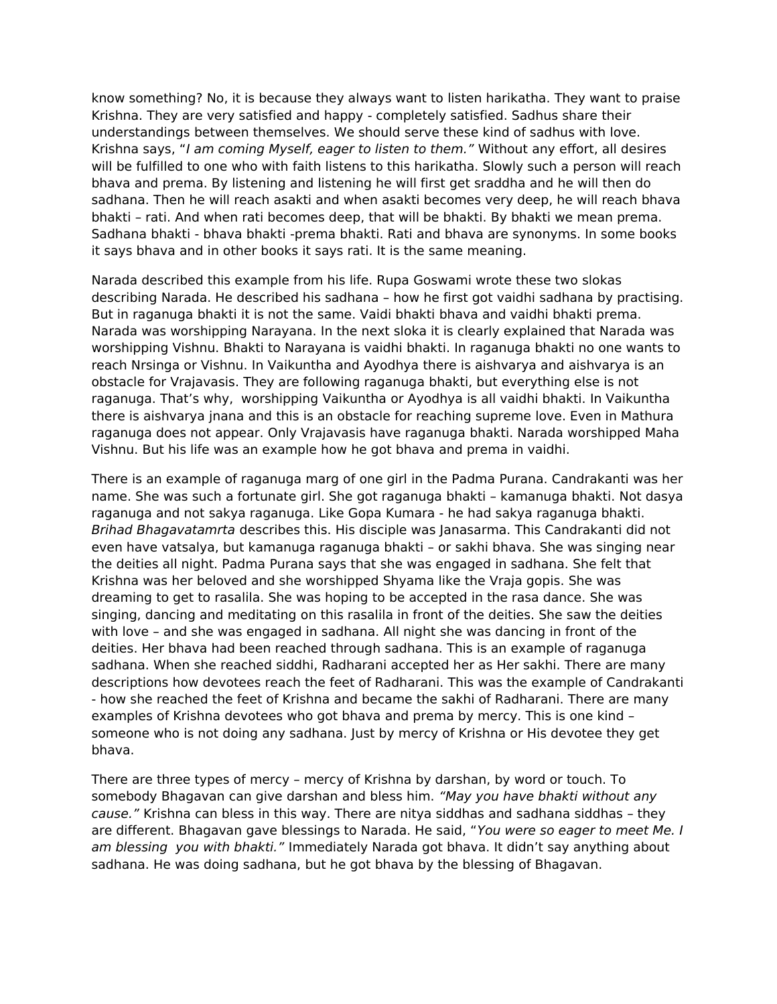know something? No, it is because they always want to listen harikatha. They want to praise Krishna. They are very satisfied and happy - completely satisfied. Sadhus share their understandings between themselves. We should serve these kind of sadhus with love. Krishna says, "I am coming Myself, eager to listen to them." Without any effort, all desires will be fulfilled to one who with faith listens to this harikatha. Slowly such a person will reach bhava and prema. By listening and listening he will first get sraddha and he will then do sadhana. Then he will reach asakti and when asakti becomes very deep, he will reach bhava bhakti – rati. And when rati becomes deep, that will be bhakti. By bhakti we mean prema. Sadhana bhakti - bhava bhakti -prema bhakti. Rati and bhava are synonyms. In some books it says bhava and in other books it says rati. It is the same meaning.

Narada described this example from his life. Rupa Goswami wrote these two slokas describing Narada. He described his sadhana – how he first got vaidhi sadhana by practising. But in raganuga bhakti it is not the same. Vaidi bhakti bhava and vaidhi bhakti prema. Narada was worshipping Narayana. In the next sloka it is clearly explained that Narada was worshipping Vishnu. Bhakti to Narayana is vaidhi bhakti. In raganuga bhakti no one wants to reach Nrsinga or Vishnu. In Vaikuntha and Ayodhya there is aishvarya and aishvarya is an obstacle for Vrajavasis. They are following raganuga bhakti, but everything else is not raganuga. That's why, worshipping Vaikuntha or Ayodhya is all vaidhi bhakti. In Vaikuntha there is aishvarya jnana and this is an obstacle for reaching supreme love. Even in Mathura raganuga does not appear. Only Vrajavasis have raganuga bhakti. Narada worshipped Maha Vishnu. But his life was an example how he got bhava and prema in vaidhi.

There is an example of raganuga marg of one girl in the Padma Purana. Candrakanti was her name. She was such a fortunate girl. She got raganuga bhakti – kamanuga bhakti. Not dasya raganuga and not sakya raganuga. Like Gopa Kumara - he had sakya raganuga bhakti. Brihad Bhagavatamrta describes this. His disciple was Janasarma. This Candrakanti did not even have vatsalya, but kamanuga raganuga bhakti – or sakhi bhava. She was singing near the deities all night. Padma Purana says that she was engaged in sadhana. She felt that Krishna was her beloved and she worshipped Shyama like the Vraja gopis. She was dreaming to get to rasalila. She was hoping to be accepted in the rasa dance. She was singing, dancing and meditating on this rasalila in front of the deities. She saw the deities with love – and she was engaged in sadhana. All night she was dancing in front of the deities. Her bhava had been reached through sadhana. This is an example of raganuga sadhana. When she reached siddhi, Radharani accepted her as Her sakhi. There are many descriptions how devotees reach the feet of Radharani. This was the example of Candrakanti - how she reached the feet of Krishna and became the sakhi of Radharani. There are many examples of Krishna devotees who got bhava and prema by mercy. This is one kind – someone who is not doing any sadhana. Just by mercy of Krishna or His devotee they get bhava.

There are three types of mercy – mercy of Krishna by darshan, by word or touch. To somebody Bhagavan can give darshan and bless him. "May you have bhakti without any cause." Krishna can bless in this way. There are nitya siddhas and sadhana siddhas – they are different. Bhagavan gave blessings to Narada. He said, "You were so eager to meet Me. I am blessing you with bhakti." Immediately Narada got bhava. It didn't say anything about sadhana. He was doing sadhana, but he got bhava by the blessing of Bhagavan.